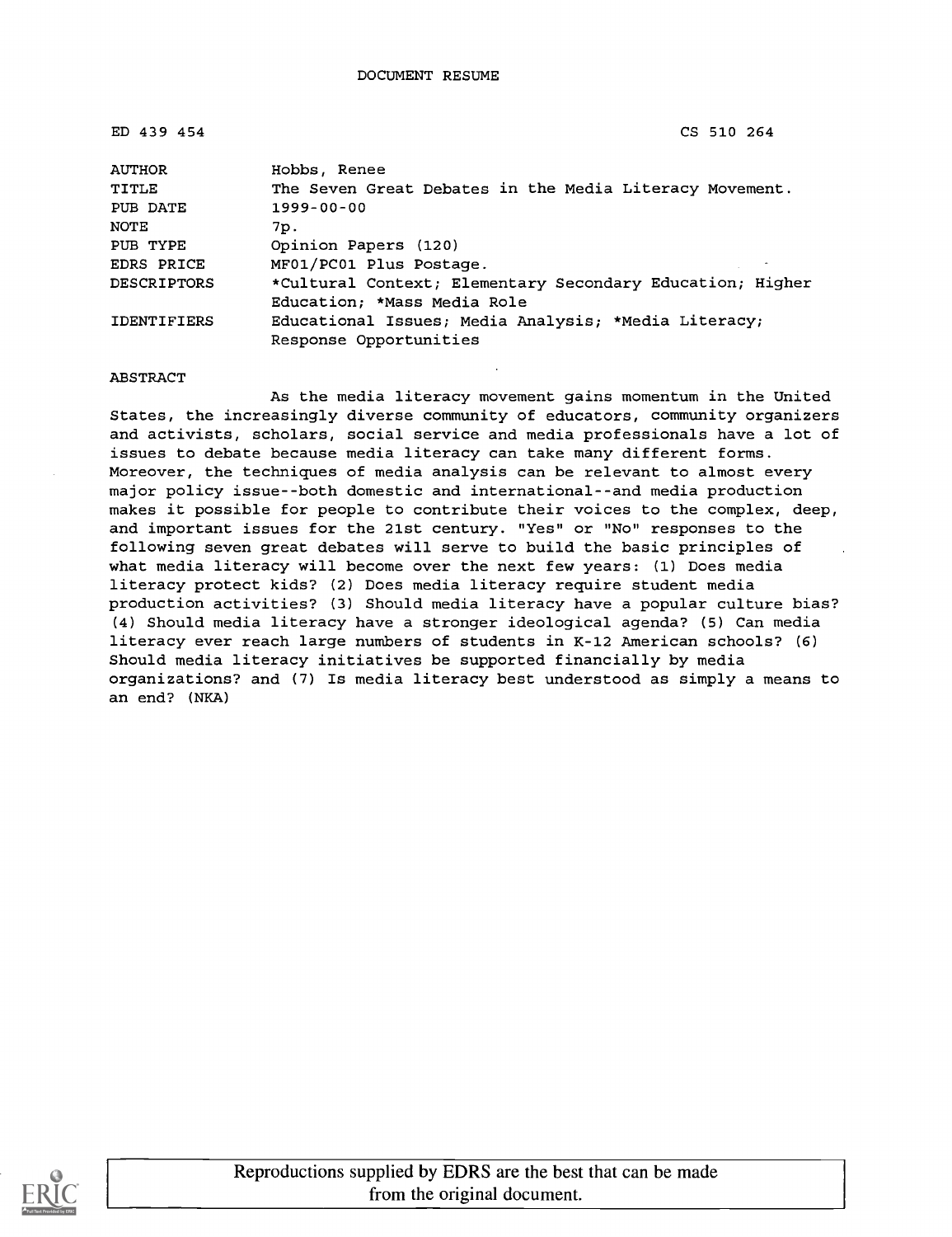| ED 439 454         | CS 510 264                                                |
|--------------------|-----------------------------------------------------------|
| <b>AUTHOR</b>      | Hobbs, Renee                                              |
| TITLE              | The Seven Great Debates in the Media Literacy Movement.   |
| PUB DATE           | 1999-00-00                                                |
| <b>NOTE</b>        | 7p.                                                       |
| PUB TYPE           | Opinion Papers (120)                                      |
| EDRS PRICE         | MF01/PC01 Plus Postage.                                   |
| <b>DESCRIPTORS</b> | *Cultural Context; Elementary Secondary Education; Higher |
|                    | Education; *Mass Media Role                               |
| <b>IDENTIFIERS</b> | Educational Issues; Media Analysis; *Media Literacy;      |
|                    | Response Opportunities                                    |

#### ABSTRACT

As the media literacy movement gains momentum in the United States, the increasingly diverse community of educators, community organizers and activists, scholars, social service and media professionals have a lot of issues to debate because media literacy can take many different forms. Moreover, the techniques of media analysis can be relevant to almost every major policy issue--both domestic and international--and media production makes it possible for people to contribute their voices to the complex, deep, and important issues for the 21st century. "Yes" or "No" responses to the following seven great debates will serve to build the basic principles of what media literacy will become over the next few years: (1) Does media literacy protect kids? (2) Does media literacy require student media production activities? (3) Should media literacy have a popular culture bias? (4) Should media literacy have a stronger ideological agenda? (5) Can media literacy ever reach large numbers of students in K-12 American schools? (6) Should media literacy initiatives be supported financially by media organizations? and (7) Is media literacy best understood as simply a means to an end? (NKA)

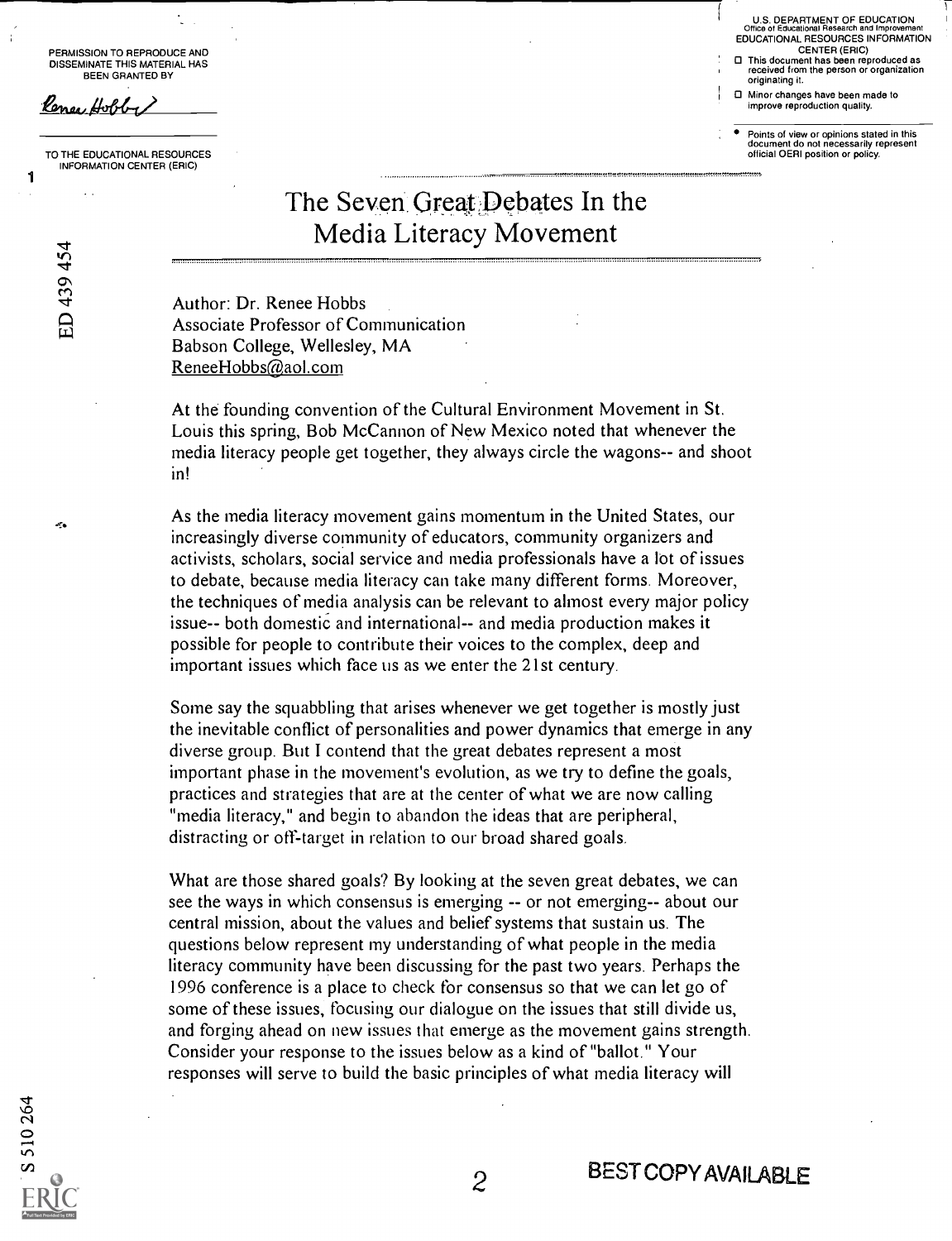PERMISSION TO REPRODUCE AND DISSEMINATE THIS MATERIAL HAS BEEN GRANTED BY

# Renea Hobby

1

ED 439 454

Č,

TO THE EDUCATIONAL RESOURCES INFORMATION CENTER (ERIC)

U.S. DEPARTMENT OF EDUCATION Office of Educational Research and Improvement EDUCATIONAL RESOURCES INFORMATION CENTER (ERIC)

This document has been reproduced as received from the person or organization originating it.

Minor changes have been made to improve reproduction quality.

Points of view or opinions stated in this document do not necessarily represent official OERI position or policy.

# The Seven Great Debates In the Media Literacy Movement

Author: Dr. Renee Hobbs Associate Professor of Communication Babson College, Wellesley, MA ReneeHobbs@aol.com

At the founding convention of the Cultural Environment Movement in St. Louis this spring, Bob McCannon of New Mexico noted that whenever the media literacy people get together, they always circle the wagons-- and shoot in!

As the media literacy movement gains momentum in the United States, our increasingly diverse community of educators, community organizers and activists, scholars, social service and media professionals have a lot of issues to debate, because media literacy can take many different forms. Moreover, the techniques of media analysis can be relevant to almost every major policy issue-- both domestic and international-- and media production makes it possible for people to contribute their voices to the complex, deep and important issues which face us as we enter the 21st century.

Some say the squabbling that arises whenever we get together is mostly just the inevitable conflict of personalities and power dynamics that emerge in any diverse group. But I contend that the great debates represent a most important phase in the movement's evolution, as we try to define the goals, practices and strategies that are at the center of what we are now calling "media literacy," and begin to abandon the ideas that are peripheral, distracting or off-target in relation to our broad shared goals.

What are those shared goals? By looking at the seven great debates, we can see the ways in which consensus is emerging -- or not emerging-- about our central mission, about the values and belief systems that sustain us. The questions below represent my understanding of what people in the media literacy community have been discussing for the past two years. Perhaps the 1996 conference is a place to check for consensus so that we can let go of some of these issues, focusing our dialogue on the issues that still divide us, and forging ahead on new issues that emerge as the movement gains strength. Consider your response to the issues below as a kind of "ballot." Your responses will serve to build the basic principles of what media literacy will

BEST COPY AVAILABLE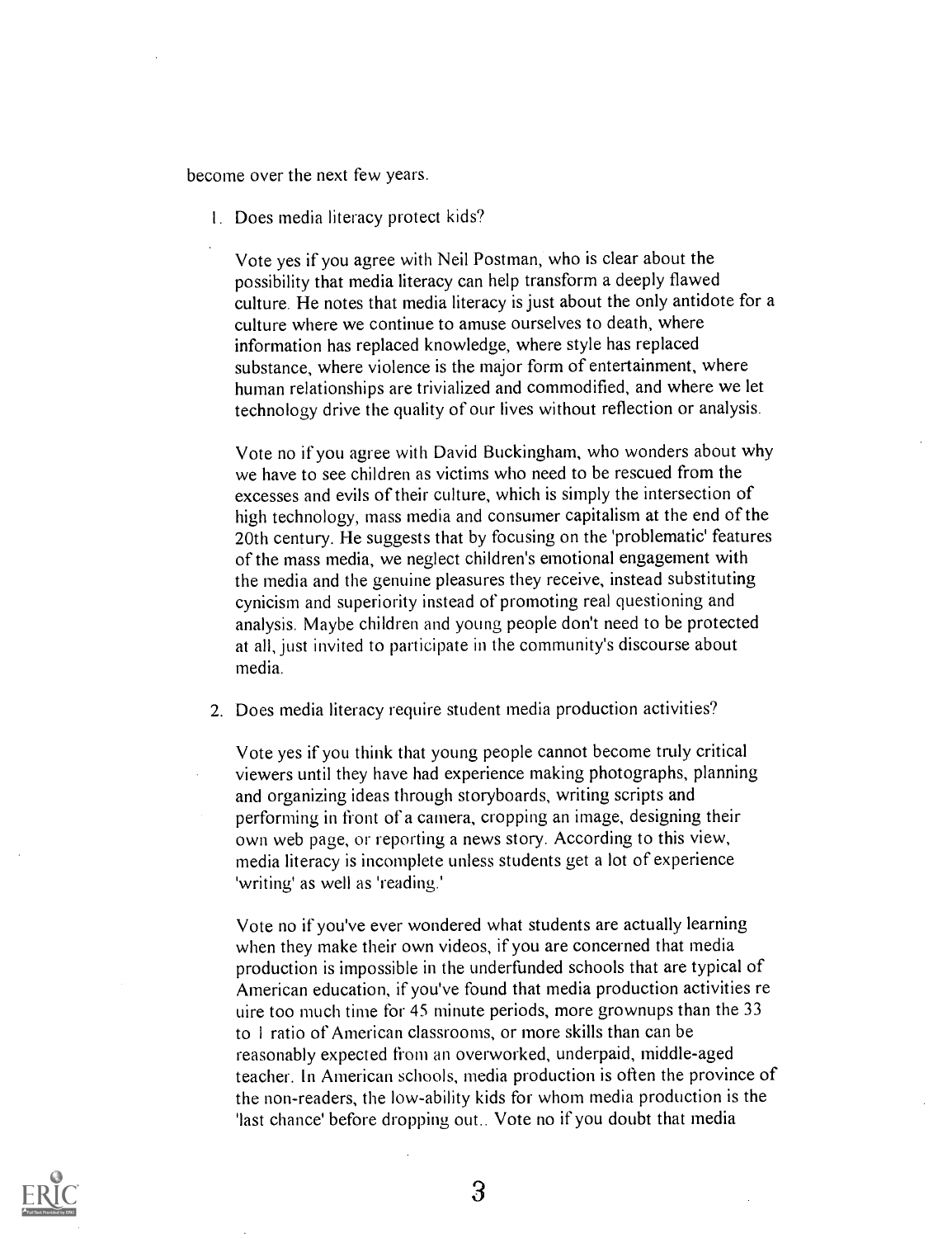become over the next few years.

I. Does media literacy protect kids?

Vote yes if you agree with Neil Postman, who is clear about the possibility that media literacy can help transform a deeply flawed culture. He notes that media literacy is just about the only antidote for a culture where we continue to amuse ourselves to death, where information has replaced knowledge, where style has replaced substance, where violence is the major form of entertainment, where human relationships are trivialized and commodified, and where we let technology drive the quality of our lives without reflection or analysis.

Vote no if you agree with David Buckingham, who wonders about why we have to see children as victims who need to be rescued from the excesses and evils of their culture, which is simply the intersection of high technology, mass media and consumer capitalism at the end of the 20th century. He suggests that by focusing on the 'problematic' features of the mass media, we neglect children's emotional engagement with the media and the genuine pleasures they receive, instead substituting cynicism and superiority instead of promoting real questioning and analysis. Maybe children and young people don't need to be protected at all, just invited to participate in the community's discourse about media.

2. Does media literacy require student media production activities?

Vote yes if you think that young people cannot become truly critical viewers until they have had experience making photographs, planning and organizing ideas through storyboards, writing scripts and performing in front of a camera, cropping an image, designing their own web page, or reporting a news story. According to this view, media literacy is incomplete unless students get a lot of experience 'writing' as well as 'reading.'

Vote no if you've ever wondered what students are actually learning when they make their own videos, if you are concerned that media production is impossible in the underfunded schools that are typical of American education, if you've found that media production activities re uire too much time for 45 minute periods, more grownups than the 33 to I ratio of American classrooms, or more skills than can be reasonably expected from an overworked, underpaid, middle-aged teacher. In American schools, media production is often the province of the non-readers, the low-ability kids for whom media production is the 'last chance' before dropping out.. Vote no if you doubt that media

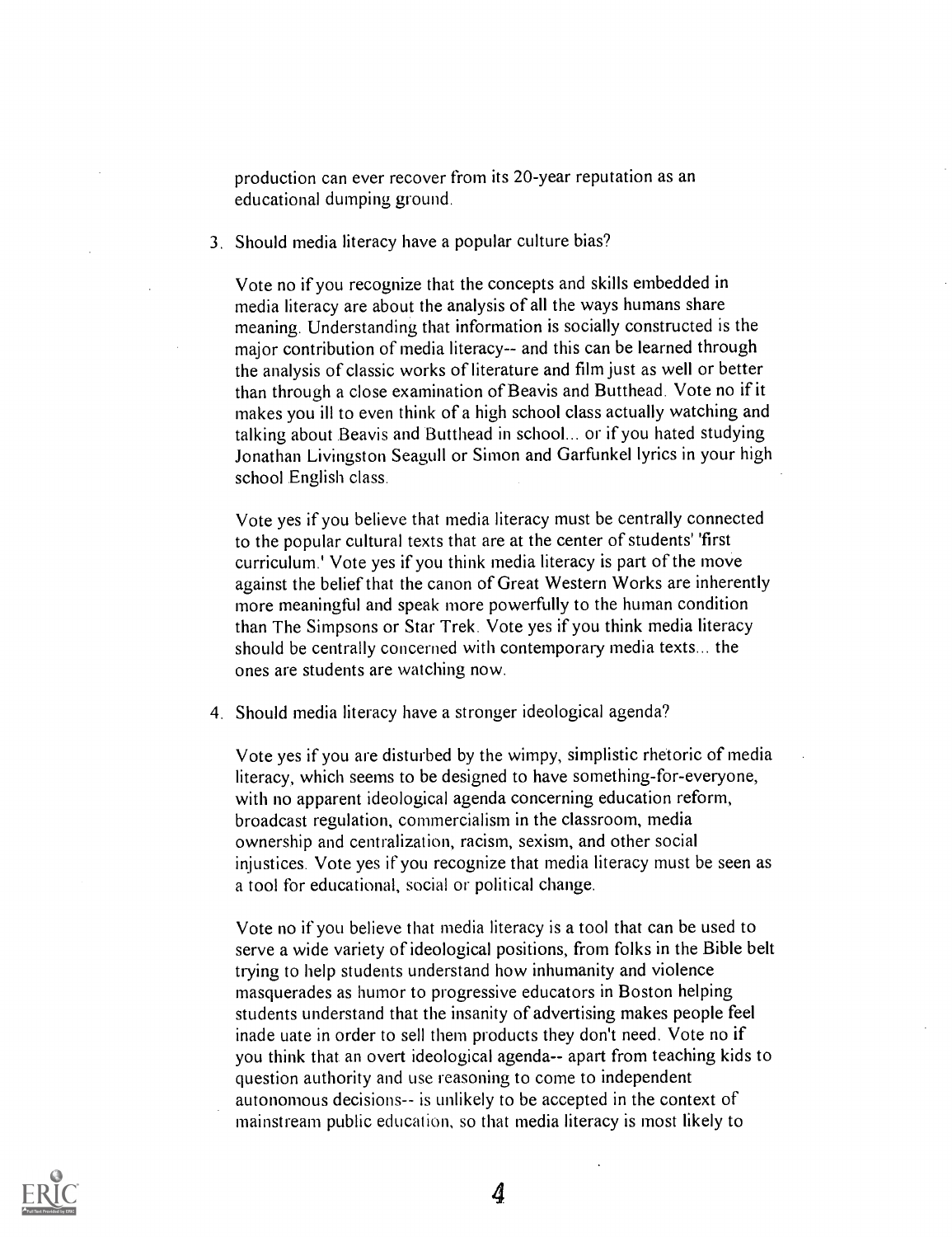production can ever recover from its 20-year reputation as an educational dumping ground.

3. Should media literacy have a popular culture bias?

Vote no if you recognize that the concepts and skills embedded in media literacy are about the analysis of all the ways humans share meaning. Understanding that information is socially constructed is the major contribution of media literacy-- and this can be learned through the analysis of classic works of literature and film just as well or better than through a close examination of Beavis and Butthead. Vote no if it makes you ill to even think of a high school class actually watching and talking about Beavis and Butthead in school... or if you hated studying Jonathan Livingston Seagull or Simon and Garfunkel lyrics in your high school English class.

Vote yes if you believe that media literacy must be centrally connected to the popular cultural texts that are at the center of students' 'first curriculum.' Vote yes if you think media literacy is part of the move against the belief that the canon of Great Western Works are inherently more meaningful and speak more powerfully to the human condition than The Simpsons or Star Trek. Vote yes if you think media literacy should be centrally concerned with contemporary media texts... the ones are students are watching now.

4. Should media literacy have a stronger ideological agenda?

Vote yes if you are disturbed by the wimpy, simplistic rhetoric of media literacy, which seems to be designed to have something-for-everyone, with no apparent ideological agenda concerning education reform, broadcast regulation, commercialism in the classroom, media ownership and centralization, racism, sexism, and other social injustices. Vote yes if you recognize that media literacy must be seen as a tool for educational, social or political change.

Vote no if you believe that media literacy is a tool that can be used to serve a wide variety of ideological positions, from folks in the Bible belt trying to help students understand how inhumanity and violence masquerades as humor to progressive educators in Boston helping students understand that the insanity of advertising makes people feel inade uate in order to sell them products they don't need. Vote no if you think that an overt ideological agenda-- apart from teaching kids to question authority and use reasoning to come to independent autonomous decisions-- is unlikely to be accepted in the context of mainstream public education, so that media literacy is most likely to

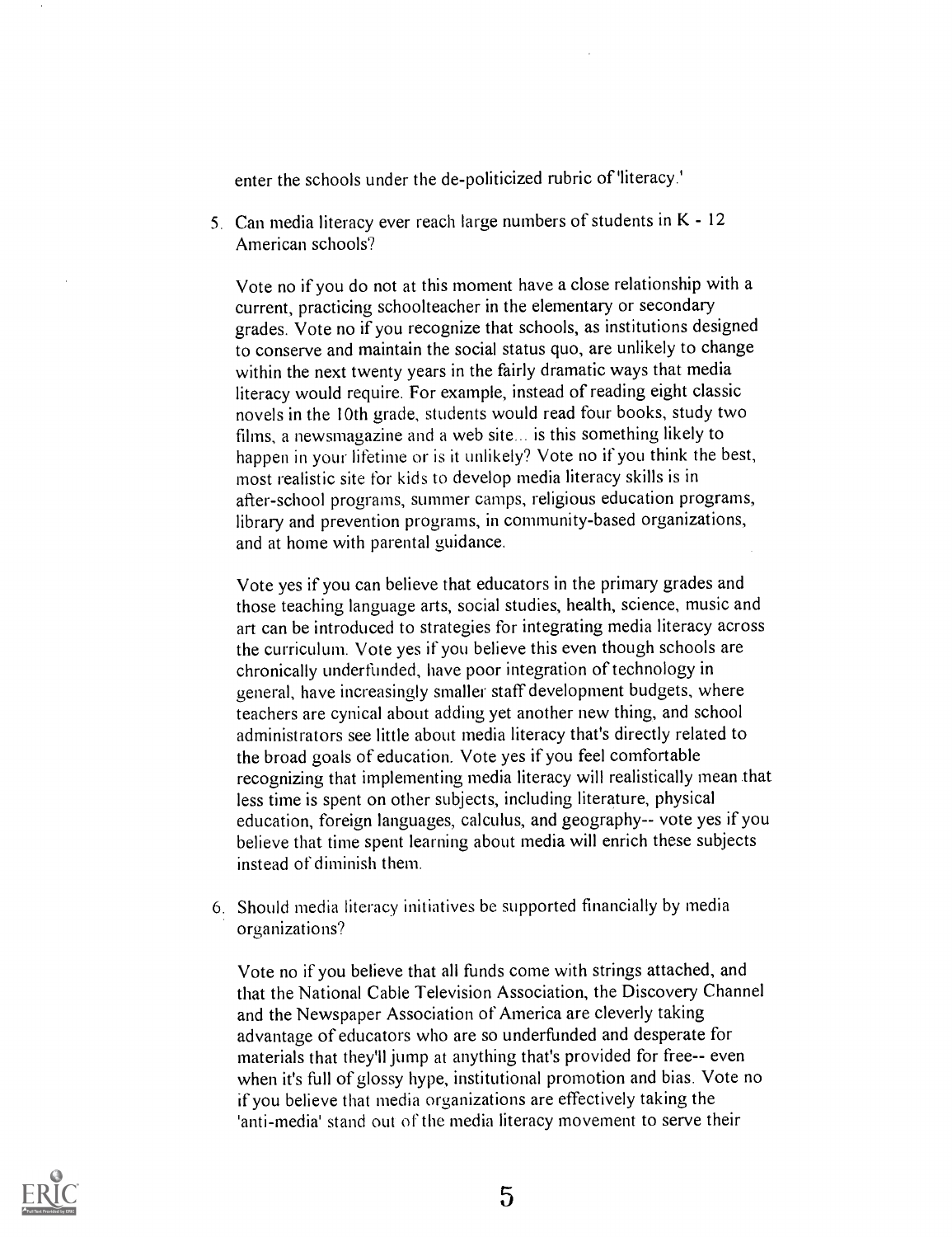enter the schools under the de-politicized rubric of 'literacy.'

5. Can media literacy ever reach large numbers of students in K - 12 American schools?

Vote no if you do not at this moment have a close relationship with a current, practicing schoolteacher in the elementary or secondary grades. Vote no if you recognize that schools, as institutions designed to conserve and maintain the social status quo, are unlikely to change within the next twenty years in the fairly dramatic ways that media literacy would require. For example, instead of reading eight classic novels in the 10th grade, students would read four books, study two films, a newsmagazine and a web site... is this something likely to happen in your lifetime or is it unlikely? Vote no if you think the best, most realistic site for kids to develop media literacy skills is in after-school programs, summer camps, religious education programs, library and prevention programs, in community-based organizations, and at home with parental guidance.

Vote yes if you can believe that educators in the primary grades and those teaching language arts, social studies, health, science, music and art can be introduced to strategies for integrating media literacy across the curriculum. Vote yes if you believe this even though schools are chronically underftinded, have poor integration of technology in general, have increasingly smaller staff development budgets, where teachers are cynical about adding yet another new thing, and school administrators see little about media literacy that's directly related to the broad goals of education. Vote yes if you feel comfortable recognizing that implementing media literacy will realistically mean that less time is spent on other subjects, including literature, physical education, foreign languages, calculus, and geography-- vote yes if you believe that time spent learning about media will enrich these subjects instead of diminish them.

6. Should media literacy initiatives be supported financially by media organizations?

Vote no if you believe that all funds come with strings attached, and that the National Cable Television Association, the Discovery Channel and the Newspaper Association of America are cleverly taking advantage of educators who are so underfunded and desperate for materials that they'll jump at anything that's provided for free-- even when it's full of glossy hype, institutional promotion and bias. Vote no if you believe that media organizations are effectively taking the 'anti-media' stand out of the media literacy movement to serve their

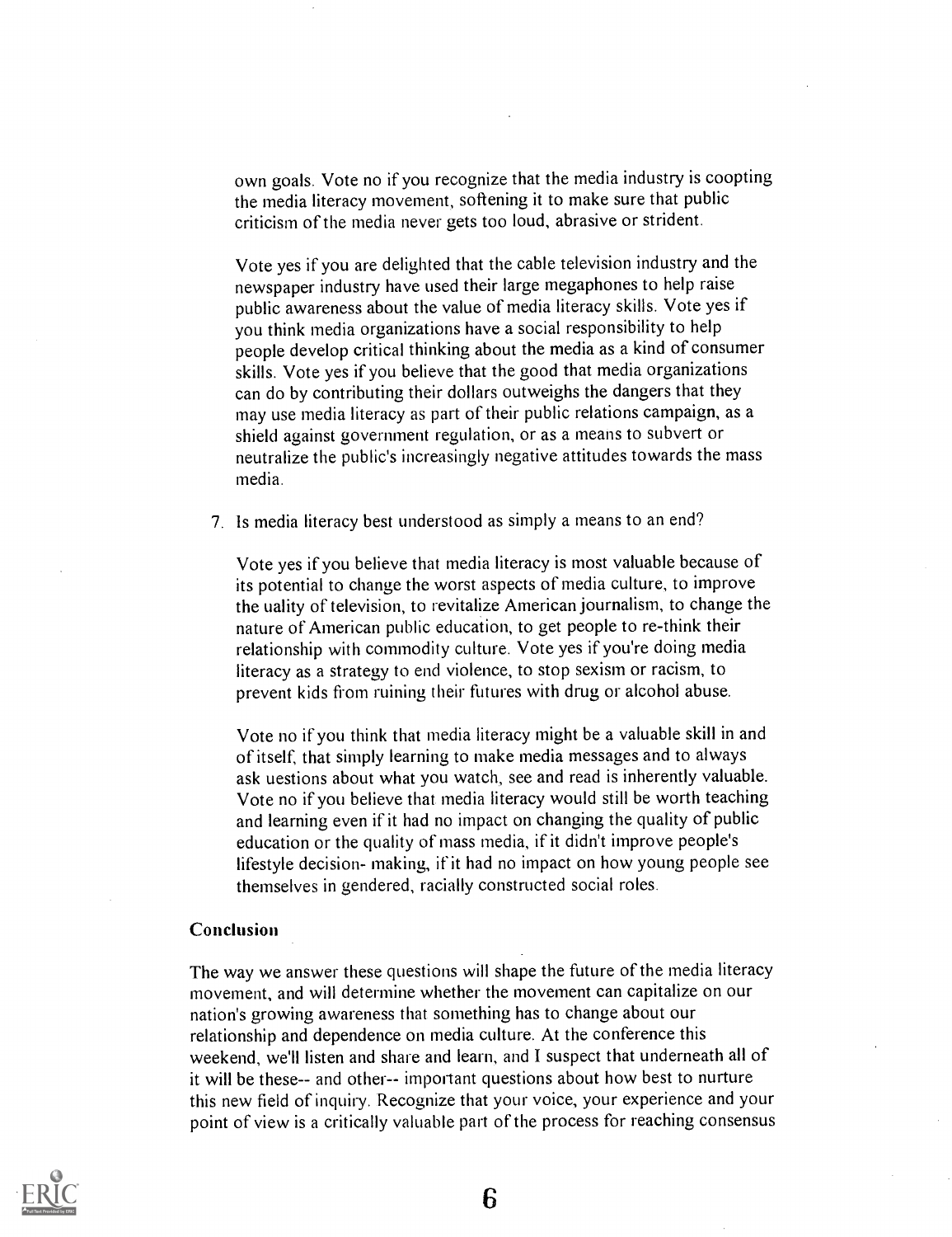own goals. Vote no if you recognize that the media industry is coopting the media literacy movement, softening it to make sure that public criticism of the media never gets too loud, abrasive or strident.

Vote yes if you are delighted that the cable television industry and the newspaper industry have used their large megaphones to help raise public awareness about the value of media literacy skills. Vote yes if you think media organizations have a social responsibility to help people develop critical thinking about the media as a kind of consumer skills. Vote yes if you believe that the good that media organizations can do by contributing their dollars outweighs the dangers that they may use media literacy as part of their public relations campaign, as a shield against government regulation, or as a means to subvert or neutralize the public's increasingly negative attitudes towards the mass media.

7. Is media literacy best understood as simply a means to an end?

Vote yes if you believe that media literacy is most valuable because of its potential to change the worst aspects of media culture, to improve the uality of television, to revitalize American journalism, to change the nature of American public education, to get people to re-think their relationship with commodity culture. Vote yes if you're doing media literacy as a strategy to end violence, to stop sexism or racism, to prevent kids from ruining their futures with drug or alcohol abuse.

Vote no if you think that media literacy might be a valuable skill in and of itself, that simply learning to make media messages and to always ask uestions about what you watch, see and read is inherently valuable. Vote no if you believe that media literacy would still be worth teaching and learning even if it had no impact on changing the quality of public education or the quality of mass media, if it didn't improve people's lifestyle decision- making, if it had no impact on how young people see themselves in gendered, racially constructed social roles.

#### Conclusion

The way we answer these questions will shape the future of the media literacy movement, and will determine whether the movement can capitalize on our nation's growing awareness that something has to change about our relationship and dependence on media culture. At the conference this weekend, we'll listen and share and learn, and I suspect that underneath all of it will be these-- and other-- important questions about how best to nurture this new field of inquiry. Recognize that your voice, your experience and your point of view is a critically valuable part of the process for reaching consensus

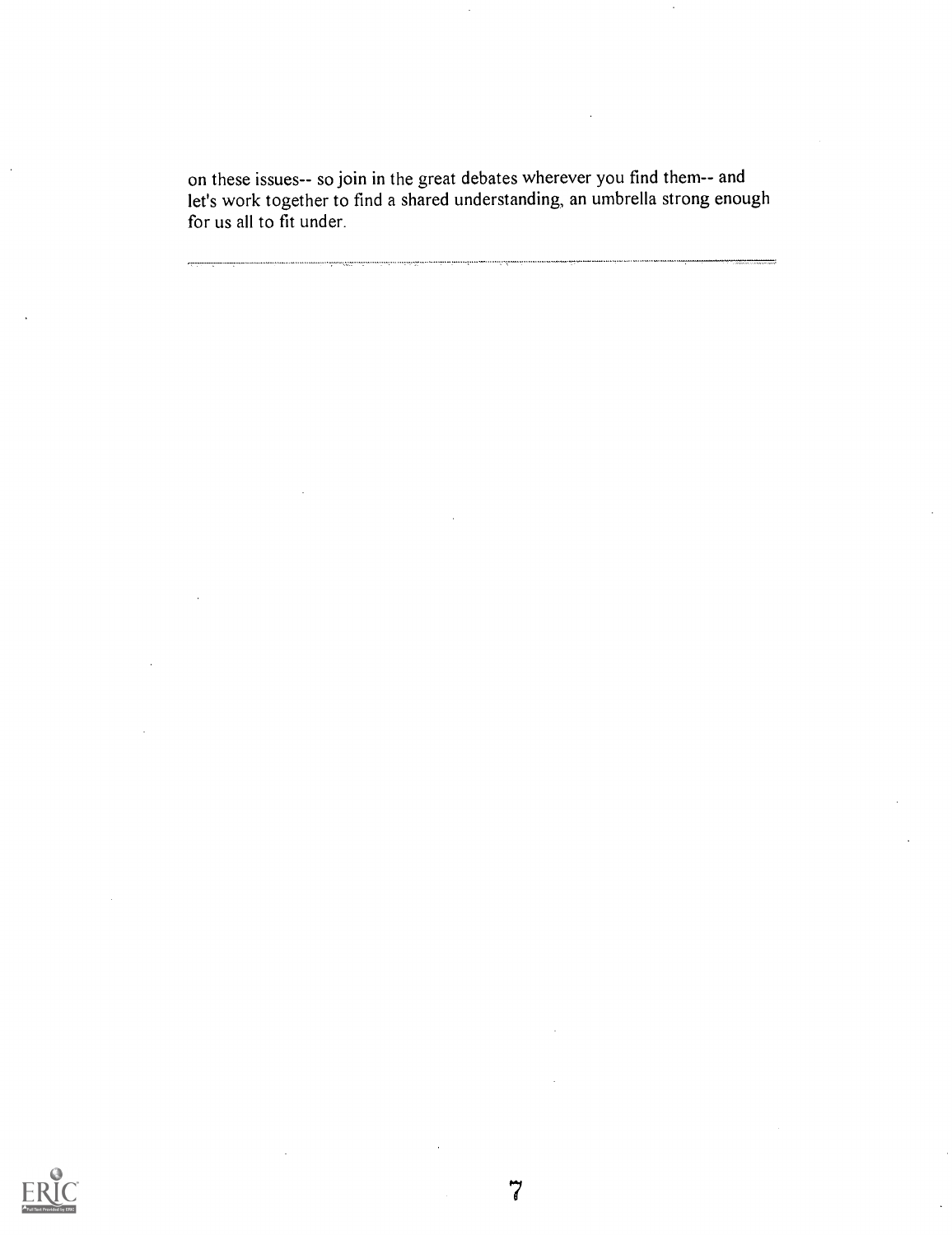on these issues-- so join in the great debates wherever you find them-- and let's work together to find a shared understanding, an umbrella strong enough for us all to fit under.

7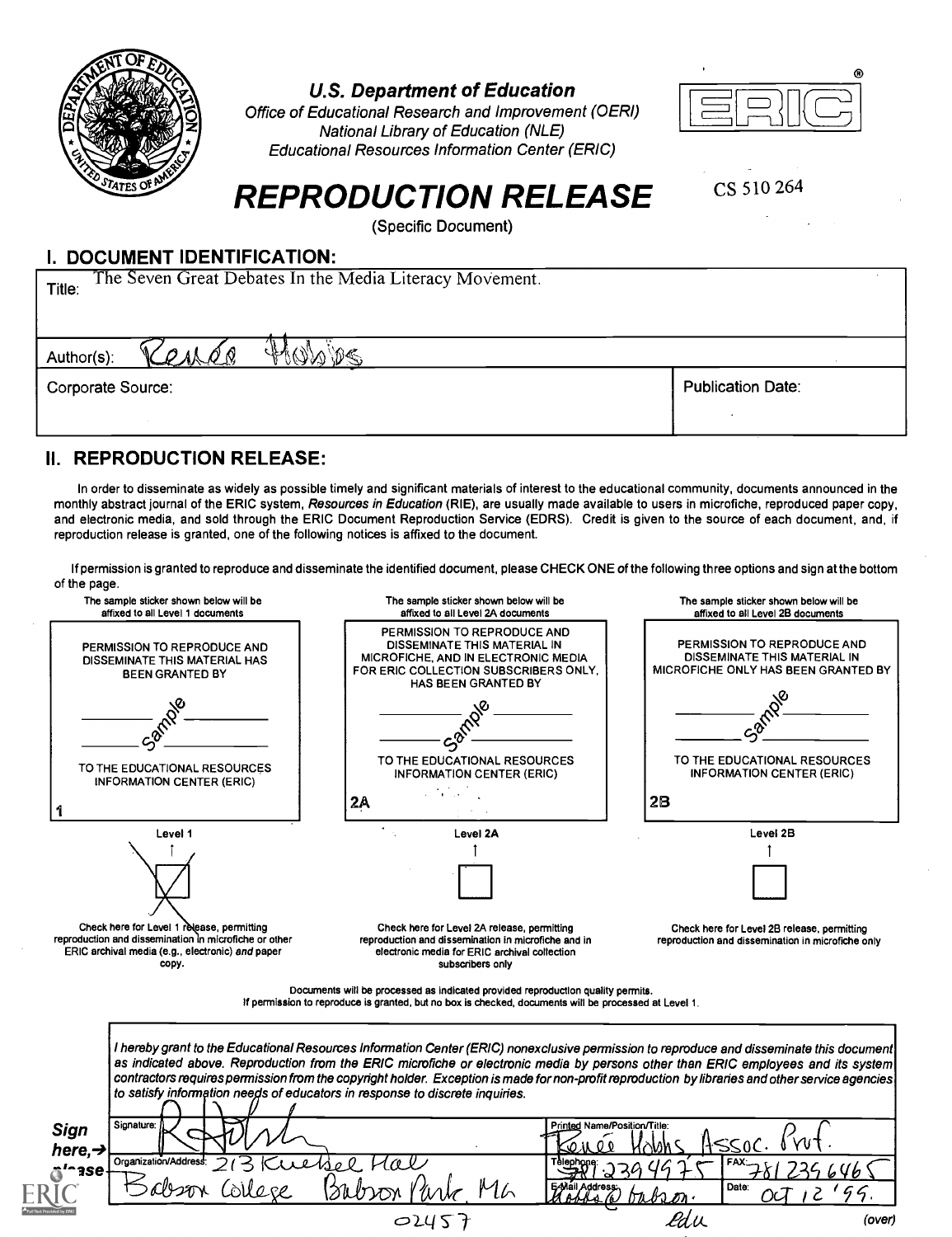

U.S. Department of Education

Office of Educational Research and Improvement (OERI) National Library of Education (NLE) Educational Resources Information Center (ERIC)



## CS 510 264

REPRODUCTION RELEASE

(Specific Document)

#### I. DOCUMENT IDENTIFICATION:

| The Seven Great Debates In the Media Literacy Movement.<br>Title: |                          |  |  |  |  |
|-------------------------------------------------------------------|--------------------------|--|--|--|--|
| 44.8<br>w.<br>Author(s):                                          |                          |  |  |  |  |
| Corporate Source:                                                 | <b>Publication Date:</b> |  |  |  |  |

## II. REPRODUCTION RELEASE:

In order to disseminate as widely as possible timely and significant materials of interest to the educational community, documents announced in the monthly abstract journal of the ERIC system, Resources in Education (RIE), are usually made available to users in microfiche, reproduced paper copy, and electronic media, and sold through the ERIC Document Reproduction Service (EDRS). Credit is given to the source of each document, and, if reproduction release is granted, one of the following notices is affixed to the document.

If permission is granted to reproduce and disseminate the identified document, please CHECK ONE of the following three options and sign at the bottom of the page.